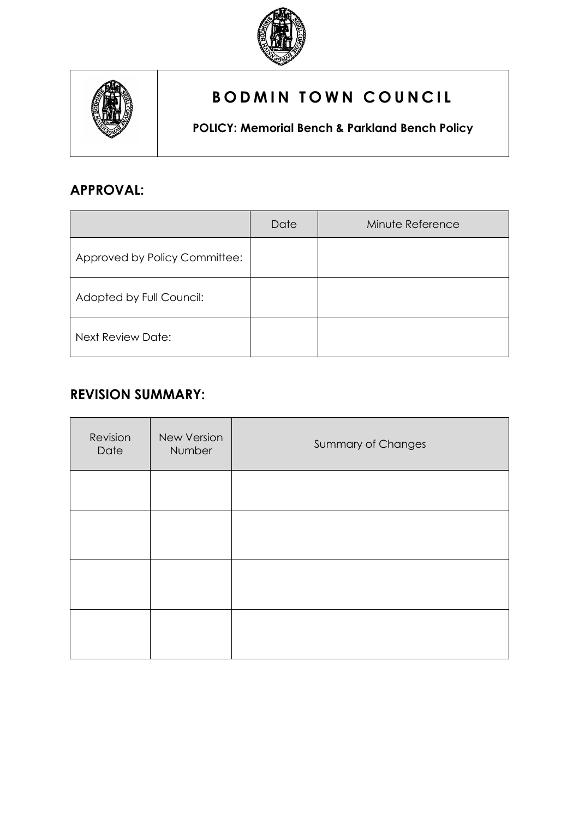



# **BODMIN TOWN COUNCIL**

**POLICY: Memorial Bench & Parkland Bench Policy**

## **APPROVAL:**

|                               | Date | Minute Reference |
|-------------------------------|------|------------------|
| Approved by Policy Committee: |      |                  |
| Adopted by Full Council:      |      |                  |
| <b>Next Review Date:</b>      |      |                  |

## **REVISION SUMMARY:**

| Revision<br>Date | New Version<br>Number | <b>Summary of Changes</b> |
|------------------|-----------------------|---------------------------|
|                  |                       |                           |
|                  |                       |                           |
|                  |                       |                           |
|                  |                       |                           |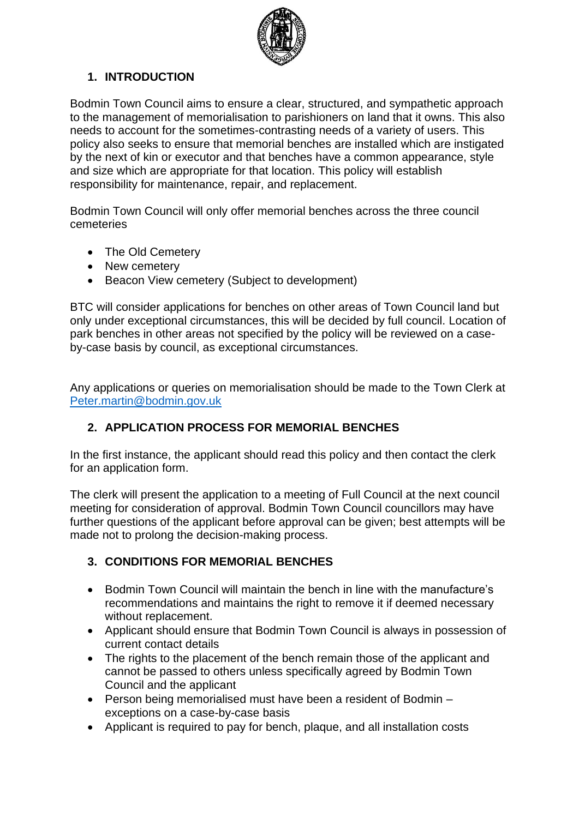

### **1. INTRODUCTION**

Bodmin Town Council aims to ensure a clear, structured, and sympathetic approach to the management of memorialisation to parishioners on land that it owns. This also needs to account for the sometimes-contrasting needs of a variety of users. This policy also seeks to ensure that memorial benches are installed which are instigated by the next of kin or executor and that benches have a common appearance, style and size which are appropriate for that location. This policy will establish responsibility for maintenance, repair, and replacement.

Bodmin Town Council will only offer memorial benches across the three council cemeteries

- The Old Cemetery
- New cemetery
- Beacon View cemetery (Subject to development)

BTC will consider applications for benches on other areas of Town Council land but only under exceptional circumstances, this will be decided by full council. Location of park benches in other areas not specified by the policy will be reviewed on a caseby-case basis by council, as exceptional circumstances.

Any applications or queries on memorialisation should be made to the Town Clerk at [Peter.martin@bodmin.gov.uk](mailto:Peter.martin@bodmin.gov.uk)

### **2. APPLICATION PROCESS FOR MEMORIAL BENCHES**

In the first instance, the applicant should read this policy and then contact the clerk for an application form.

The clerk will present the application to a meeting of Full Council at the next council meeting for consideration of approval. Bodmin Town Council councillors may have further questions of the applicant before approval can be given; best attempts will be made not to prolong the decision-making process.

#### **3. CONDITIONS FOR MEMORIAL BENCHES**

- Bodmin Town Council will maintain the bench in line with the manufacture's recommendations and maintains the right to remove it if deemed necessary without replacement.
- Applicant should ensure that Bodmin Town Council is always in possession of current contact details
- The rights to the placement of the bench remain those of the applicant and cannot be passed to others unless specifically agreed by Bodmin Town Council and the applicant
- Person being memorialised must have been a resident of Bodmin exceptions on a case-by-case basis
- Applicant is required to pay for bench, plaque, and all installation costs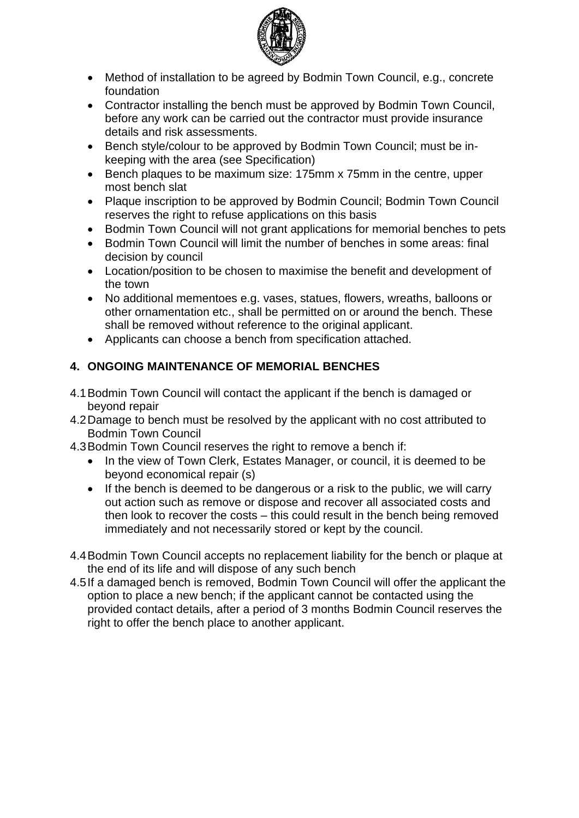

- Method of installation to be agreed by Bodmin Town Council, e.g., concrete foundation
- Contractor installing the bench must be approved by Bodmin Town Council, before any work can be carried out the contractor must provide insurance details and risk assessments.
- Bench style/colour to be approved by Bodmin Town Council; must be inkeeping with the area (see Specification)
- Bench plaques to be maximum size: 175mm x 75mm in the centre, upper most bench slat
- Plaque inscription to be approved by Bodmin Council; Bodmin Town Council reserves the right to refuse applications on this basis
- Bodmin Town Council will not grant applications for memorial benches to pets
- Bodmin Town Council will limit the number of benches in some areas: final decision by council
- Location/position to be chosen to maximise the benefit and development of the town
- No additional mementoes e.g. vases, statues, flowers, wreaths, balloons or other ornamentation etc., shall be permitted on or around the bench. These shall be removed without reference to the original applicant.
- Applicants can choose a bench from specification attached.

### **4. ONGOING MAINTENANCE OF MEMORIAL BENCHES**

- 4.1Bodmin Town Council will contact the applicant if the bench is damaged or beyond repair
- 4.2Damage to bench must be resolved by the applicant with no cost attributed to Bodmin Town Council
- 4.3Bodmin Town Council reserves the right to remove a bench if:
	- In the view of Town Clerk, Estates Manager, or council, it is deemed to be beyond economical repair (s)
	- If the bench is deemed to be dangerous or a risk to the public, we will carry out action such as remove or dispose and recover all associated costs and then look to recover the costs – this could result in the bench being removed immediately and not necessarily stored or kept by the council.
- 4.4Bodmin Town Council accepts no replacement liability for the bench or plaque at the end of its life and will dispose of any such bench
- 4.5If a damaged bench is removed, Bodmin Town Council will offer the applicant the option to place a new bench; if the applicant cannot be contacted using the provided contact details, after a period of 3 months Bodmin Council reserves the right to offer the bench place to another applicant.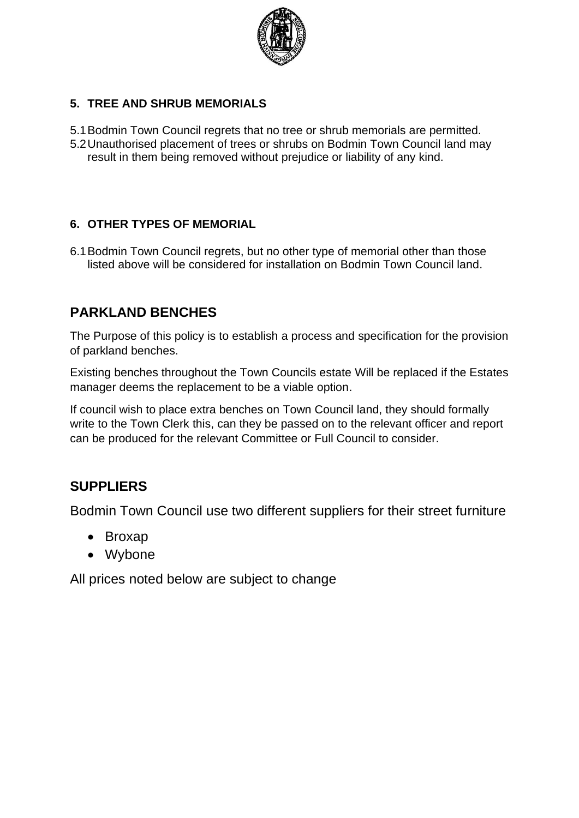

#### **5. TREE AND SHRUB MEMORIALS**

- 5.1Bodmin Town Council regrets that no tree or shrub memorials are permitted.
- 5.2Unauthorised placement of trees or shrubs on Bodmin Town Council land may result in them being removed without prejudice or liability of any kind.

#### **6. OTHER TYPES OF MEMORIAL**

6.1Bodmin Town Council regrets, but no other type of memorial other than those listed above will be considered for installation on Bodmin Town Council land.

## **PARKLAND BENCHES**

The Purpose of this policy is to establish a process and specification for the provision of parkland benches.

Existing benches throughout the Town Councils estate Will be replaced if the Estates manager deems the replacement to be a viable option.

If council wish to place extra benches on Town Council land, they should formally write to the Town Clerk this, can they be passed on to the relevant officer and report can be produced for the relevant Committee or Full Council to consider.

### **SUPPLIERS**

Bodmin Town Council use two different suppliers for their street furniture

- Broxap
- Wybone

All prices noted below are subject to change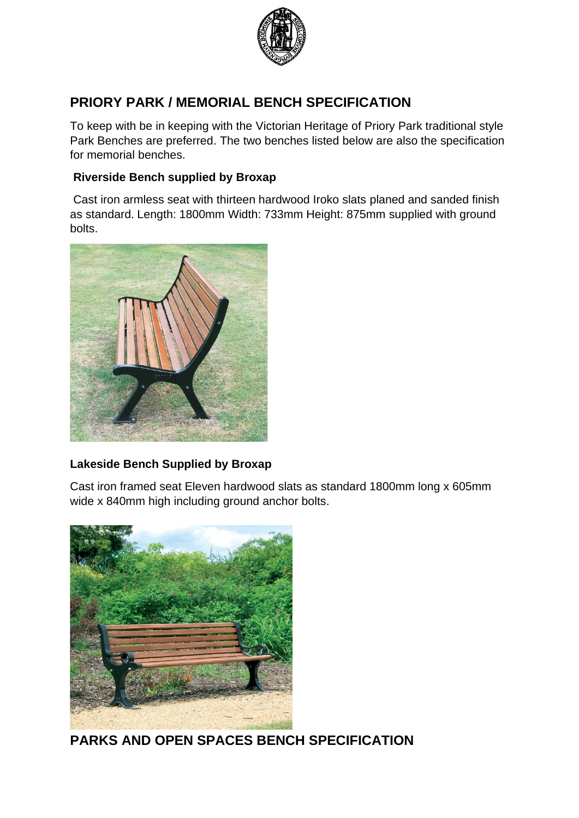

## **PRIORY PARK / MEMORIAL BENCH SPECIFICATION**

To keep with be in keeping with the Victorian Heritage of Priory Park traditional style Park Benches are preferred. The two benches listed below are also the specification for memorial benches.

#### **Riverside Bench supplied by Broxap**

Cast iron armless seat with thirteen hardwood Iroko slats planed and sanded finish as standard. Length: 1800mm Width: 733mm Height: 875mm supplied with ground bolts.



#### **Lakeside Bench Supplied by Broxap**

Cast iron framed seat Eleven hardwood slats as standard 1800mm long x 605mm wide x 840mm high including ground anchor bolts.



**PARKS AND OPEN SPACES BENCH SPECIFICATION**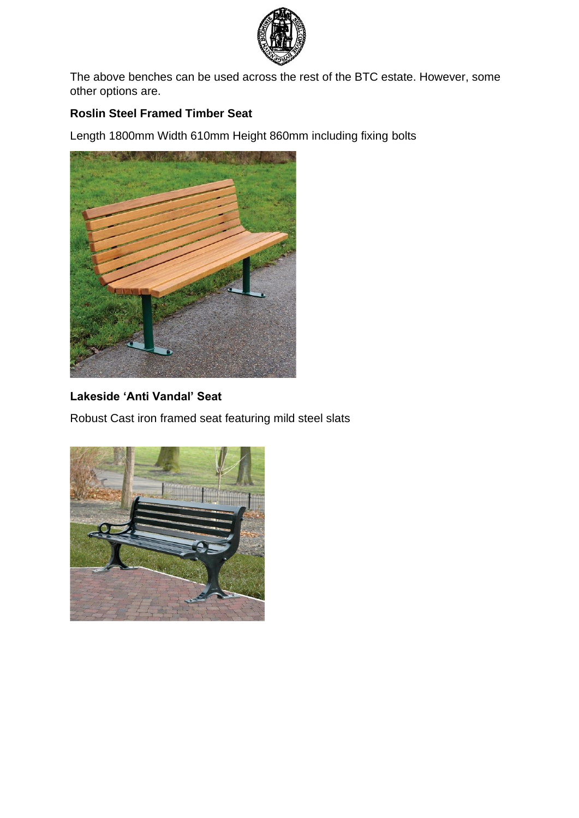

The above benches can be used across the rest of the BTC estate. However, some other options are.

#### **Roslin Steel Framed Timber Seat**

Length 1800mm Width 610mm Height 860mm including fixing bolts



## **Lakeside 'Anti Vandal' Seat**

Robust Cast iron framed seat featuring mild steel slats